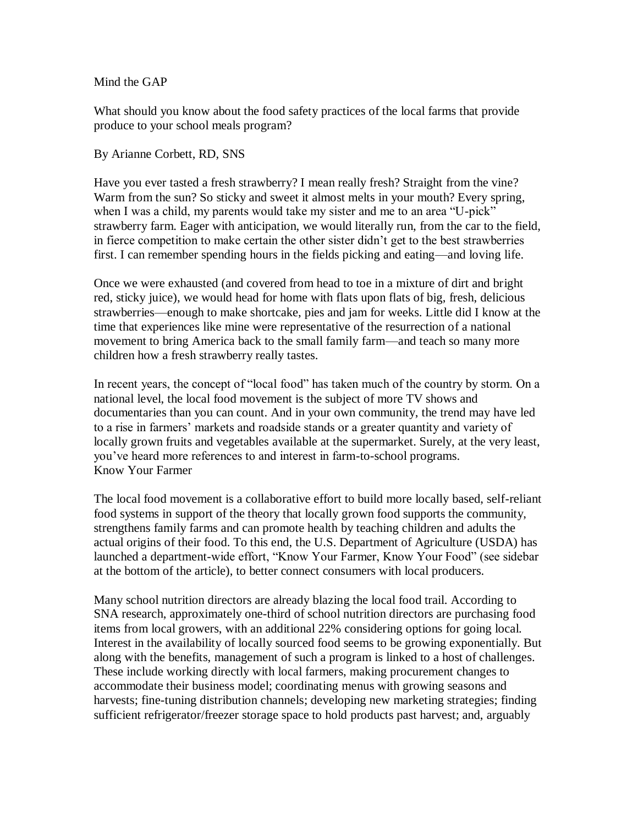## Mind the GAP

What should you know about the food safety practices of the local farms that provide produce to your school meals program?

## By Arianne Corbett, RD, SNS

Have you ever tasted a fresh strawberry? I mean really fresh? Straight from the vine? Warm from the sun? So sticky and sweet it almost melts in your mouth? Every spring, when I was a child, my parents would take my sister and me to an area "U-pick" strawberry farm. Eager with anticipation, we would literally run, from the car to the field, in fierce competition to make certain the other sister didn't get to the best strawberries first. I can remember spending hours in the fields picking and eating—and loving life.

Once we were exhausted (and covered from head to toe in a mixture of dirt and bright red, sticky juice), we would head for home with flats upon flats of big, fresh, delicious strawberries—enough to make shortcake, pies and jam for weeks. Little did I know at the time that experiences like mine were representative of the resurrection of a national movement to bring America back to the small family farm—and teach so many more children how a fresh strawberry really tastes.

In recent years, the concept of "local food" has taken much of the country by storm. On a national level, the local food movement is the subject of more TV shows and documentaries than you can count. And in your own community, the trend may have led to a rise in farmers' markets and roadside stands or a greater quantity and variety of locally grown fruits and vegetables available at the supermarket. Surely, at the very least, you've heard more references to and interest in farm-to-school programs. Know Your Farmer

The local food movement is a collaborative effort to build more locally based, self-reliant food systems in support of the theory that locally grown food supports the community, strengthens family farms and can promote health by teaching children and adults the actual origins of their food. To this end, the U.S. Department of Agriculture (USDA) has launched a department-wide effort, "Know Your Farmer, Know Your Food" (see sidebar at the bottom of the article), to better connect consumers with local producers.

Many school nutrition directors are already blazing the local food trail. According to SNA research, approximately one-third of school nutrition directors are purchasing food items from local growers, with an additional 22% considering options for going local. Interest in the availability of locally sourced food seems to be growing exponentially. But along with the benefits, management of such a program is linked to a host of challenges. These include working directly with local farmers, making procurement changes to accommodate their business model; coordinating menus with growing seasons and harvests; fine-tuning distribution channels; developing new marketing strategies; finding sufficient refrigerator/freezer storage space to hold products past harvest; and, arguably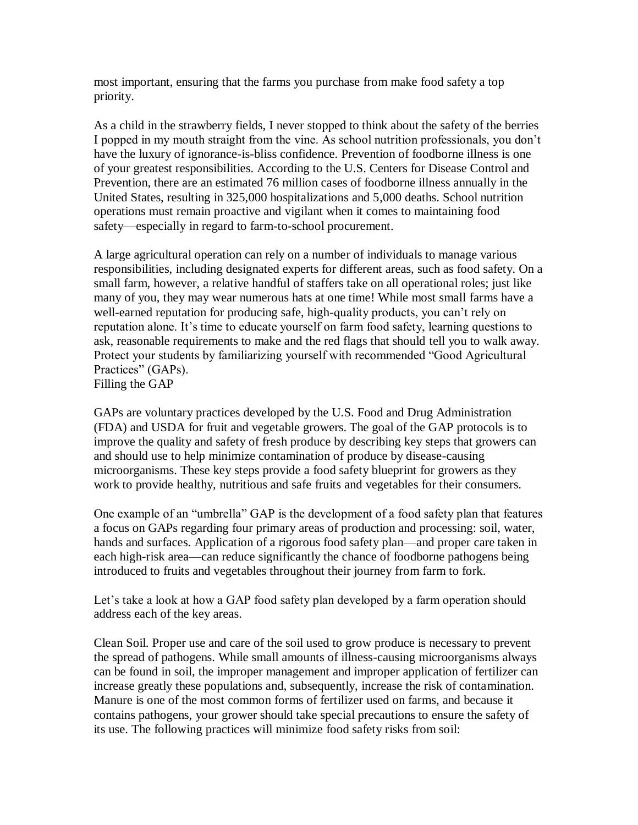most important, ensuring that the farms you purchase from make food safety a top priority.

As a child in the strawberry fields, I never stopped to think about the safety of the berries I popped in my mouth straight from the vine. As school nutrition professionals, you don't have the luxury of ignorance-is-bliss confidence. Prevention of foodborne illness is one of your greatest responsibilities. According to the U.S. Centers for Disease Control and Prevention, there are an estimated 76 million cases of foodborne illness annually in the United States, resulting in 325,000 hospitalizations and 5,000 deaths. School nutrition operations must remain proactive and vigilant when it comes to maintaining food safety—especially in regard to farm-to-school procurement.

A large agricultural operation can rely on a number of individuals to manage various responsibilities, including designated experts for different areas, such as food safety. On a small farm, however, a relative handful of staffers take on all operational roles; just like many of you, they may wear numerous hats at one time! While most small farms have a well-earned reputation for producing safe, high-quality products, you can't rely on reputation alone. It's time to educate yourself on farm food safety, learning questions to ask, reasonable requirements to make and the red flags that should tell you to walk away. Protect your students by familiarizing yourself with recommended "Good Agricultural Practices" (GAPs). Filling the GAP

GAPs are voluntary practices developed by the U.S. Food and Drug Administration (FDA) and USDA for fruit and vegetable growers. The goal of the GAP protocols is to improve the quality and safety of fresh produce by describing key steps that growers can and should use to help minimize contamination of produce by disease-causing microorganisms. These key steps provide a food safety blueprint for growers as they work to provide healthy, nutritious and safe fruits and vegetables for their consumers.

One example of an "umbrella" GAP is the development of a food safety plan that features a focus on GAPs regarding four primary areas of production and processing: soil, water, hands and surfaces. Application of a rigorous food safety plan—and proper care taken in each high-risk area—can reduce significantly the chance of foodborne pathogens being introduced to fruits and vegetables throughout their journey from farm to fork.

Let's take a look at how a GAP food safety plan developed by a farm operation should address each of the key areas.

Clean Soil. Proper use and care of the soil used to grow produce is necessary to prevent the spread of pathogens. While small amounts of illness-causing microorganisms always can be found in soil, the improper management and improper application of fertilizer can increase greatly these populations and, subsequently, increase the risk of contamination. Manure is one of the most common forms of fertilizer used on farms, and because it contains pathogens, your grower should take special precautions to ensure the safety of its use. The following practices will minimize food safety risks from soil: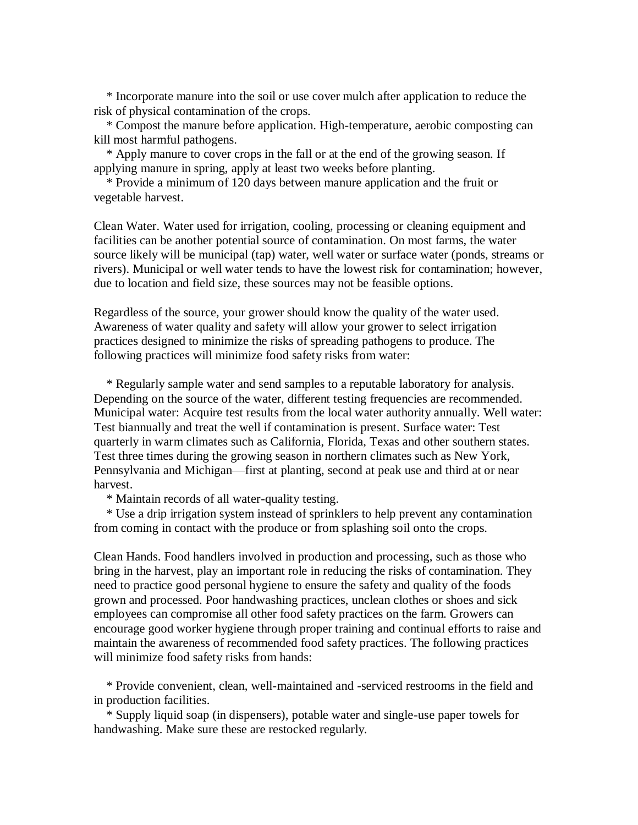\* Incorporate manure into the soil or use cover mulch after application to reduce the risk of physical contamination of the crops.

 \* Compost the manure before application. High-temperature, aerobic composting can kill most harmful pathogens.

 \* Apply manure to cover crops in the fall or at the end of the growing season. If applying manure in spring, apply at least two weeks before planting.

 \* Provide a minimum of 120 days between manure application and the fruit or vegetable harvest.

Clean Water. Water used for irrigation, cooling, processing or cleaning equipment and facilities can be another potential source of contamination. On most farms, the water source likely will be municipal (tap) water, well water or surface water (ponds, streams or rivers). Municipal or well water tends to have the lowest risk for contamination; however, due to location and field size, these sources may not be feasible options.

Regardless of the source, your grower should know the quality of the water used. Awareness of water quality and safety will allow your grower to select irrigation practices designed to minimize the risks of spreading pathogens to produce. The following practices will minimize food safety risks from water:

 \* Regularly sample water and send samples to a reputable laboratory for analysis. Depending on the source of the water, different testing frequencies are recommended. Municipal water: Acquire test results from the local water authority annually. Well water: Test biannually and treat the well if contamination is present. Surface water: Test quarterly in warm climates such as California, Florida, Texas and other southern states. Test three times during the growing season in northern climates such as New York, Pennsylvania and Michigan—first at planting, second at peak use and third at or near harvest.

\* Maintain records of all water-quality testing.

 \* Use a drip irrigation system instead of sprinklers to help prevent any contamination from coming in contact with the produce or from splashing soil onto the crops.

Clean Hands. Food handlers involved in production and processing, such as those who bring in the harvest, play an important role in reducing the risks of contamination. They need to practice good personal hygiene to ensure the safety and quality of the foods grown and processed. Poor handwashing practices, unclean clothes or shoes and sick employees can compromise all other food safety practices on the farm. Growers can encourage good worker hygiene through proper training and continual efforts to raise and maintain the awareness of recommended food safety practices. The following practices will minimize food safety risks from hands:

 \* Provide convenient, clean, well-maintained and -serviced restrooms in the field and in production facilities.

 \* Supply liquid soap (in dispensers), potable water and single-use paper towels for handwashing. Make sure these are restocked regularly.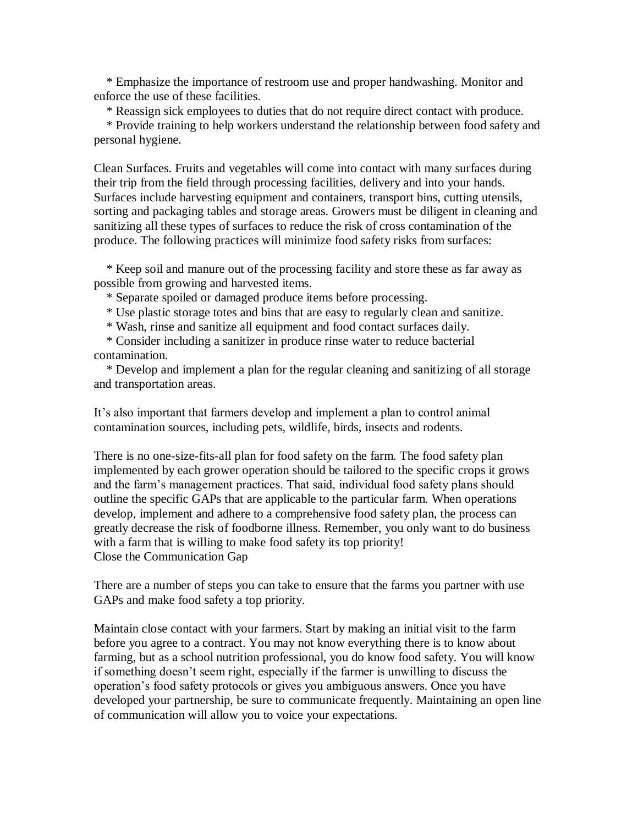\* Emphasize the importance of restroom use and proper handwashing. Monitor and enforce the use of these facilities.

\* Reassign sick employees to duties that do not require direct contact with produce.

 \* Provide training to help workers understand the relationship between food safety and personal hygiene.

Clean Surfaces. Fruits and vegetables will come into contact with many surfaces during their trip from the field through processing facilities, delivery and into your hands. Surfaces include harvesting equipment and containers, transport bins, cutting utensils, sorting and packaging tables and storage areas. Growers must be diligent in cleaning and sanitizing all these types of surfaces to reduce the risk of cross contamination of the produce. The following practices will minimize food safety risks from surfaces:

 \* Keep soil and manure out of the processing facility and store these as far away as possible from growing and harvested items.

\* Separate spoiled or damaged produce items before processing.

\* Use plastic storage totes and bins that are easy to regularly clean and sanitize.

\* Wash, rinse and sanitize all equipment and food contact surfaces daily.

 \* Consider including a sanitizer in produce rinse water to reduce bacterial contamination.

 \* Develop and implement a plan for the regular cleaning and sanitizing of all storage and transportation areas.

It's also important that farmers develop and implement a plan to control animal contamination sources, including pets, wildlife, birds, insects and rodents.

There is no one-size-fits-all plan for food safety on the farm. The food safety plan implemented by each grower operation should be tailored to the specific crops it grows and the farm's management practices. That said, individual food safety plans should outline the specific GAPs that are applicable to the particular farm. When operations develop, implement and adhere to a comprehensive food safety plan, the process can greatly decrease the risk of foodborne illness. Remember, you only want to do business with a farm that is willing to make food safety its top priority! Close the Communication Gap

There are a number of steps you can take to ensure that the farms you partner with use GAPs and make food safety a top priority.

Maintain close contact with your farmers. Start by making an initial visit to the farm before you agree to a contract. You may not know everything there is to know about farming, but as a school nutrition professional, you do know food safety. You will know if something doesn't seem right, especially if the farmer is unwilling to discuss the operation's food safety protocols or gives you ambiguous answers. Once you have developed your partnership, be sure to communicate frequently. Maintaining an open line of communication will allow you to voice your expectations.